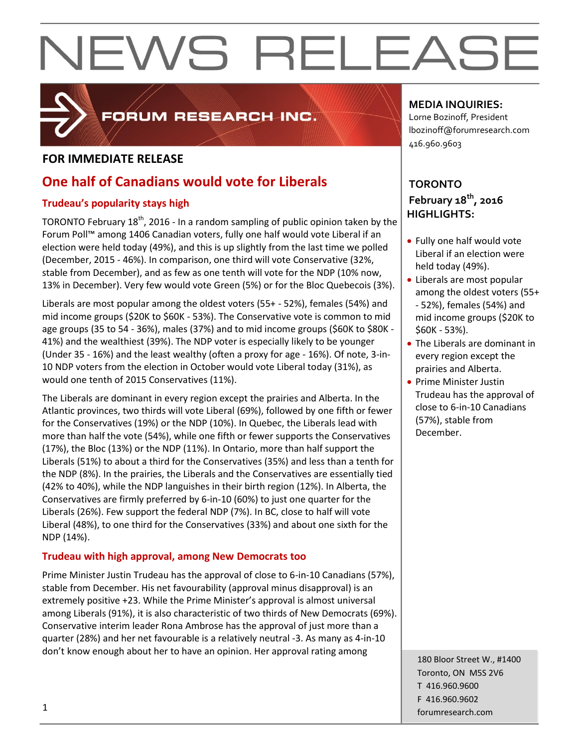

# FORUM RESEARCH INC.

# **FOR IMMEDIATE RELEASE**

# **One half of Canadians would vote for Liberals**

## **Trudeau's popularity stays high**

TORONTO February 18<sup>th</sup>, 2016 - In a random sampling of public opinion taken by the Forum Poll™ among 1406 Canadian voters, fully one half would vote Liberal if an election were held today (49%), and this is up slightly from the last time we polled (December, 2015 - 46%). In comparison, one third will vote Conservative (32%, stable from December), and as few as one tenth will vote for the NDP (10% now, 13% in December). Very few would vote Green (5%) or for the Bloc Quebecois (3%).

Liberals are most popular among the oldest voters (55+ - 52%), females (54%) and mid income groups (\$20K to \$60K - 53%). The Conservative vote is common to mid age groups (35 to 54 - 36%), males (37%) and to mid income groups (\$60K to \$80K - 41%) and the wealthiest (39%). The NDP voter is especially likely to be younger (Under 35 - 16%) and the least wealthy (often a proxy for age - 16%). Of note, 3-in-10 NDP voters from the election in October would vote Liberal today (31%), as would one tenth of 2015 Conservatives (11%).

The Liberals are dominant in every region except the prairies and Alberta. In the Atlantic provinces, two thirds will vote Liberal (69%), followed by one fifth or fewer for the Conservatives (19%) or the NDP (10%). In Quebec, the Liberals lead with more than half the vote (54%), while one fifth or fewer supports the Conservatives (17%), the Bloc (13%) or the NDP (11%). In Ontario, more than half support the Liberals (51%) to about a third for the Conservatives (35%) and less than a tenth for the NDP (8%). In the prairies, the Liberals and the Conservatives are essentially tied (42% to 40%), while the NDP languishes in their birth region (12%). In Alberta, the Conservatives are firmly preferred by 6-in-10 (60%) to just one quarter for the Liberals (26%). Few support the federal NDP (7%). In BC, close to half will vote Liberal (48%), to one third for the Conservatives (33%) and about one sixth for the NDP (14%).

## **Trudeau with high approval, among New Democrats too**

Prime Minister Justin Trudeau has the approval of close to 6-in-10 Canadians (57%), stable from December. His net favourability (approval minus disapproval) is an extremely positive +23. While the Prime Minister's approval is almost universal among Liberals (91%), it is also characteristic of two thirds of New Democrats (69%). Conservative interim leader Rona Ambrose has the approval of just more than a quarter (28%) and her net favourable is a relatively neutral -3. As many as 4-in-10 don't know enough about her to have an opinion. Her approval rating among

# **MEDIA INQUIRIES:**

Lorne Bozinoff, President lbozinoff@forumresearch.com 416.960.9603

# **TORONTO February 18th, 2016 HIGHLIGHTS:**

- Fully one half would vote Liberal if an election were held today (49%).
- Liberals are most popular among the oldest voters (55+ - 52%), females (54%) and mid income groups (\$20K to \$60K - 53%).
- The Liberals are dominant in every region except the prairies and Alberta.
- Prime Minister Justin Trudeau has the approval of close to 6-in-10 Canadians (57%), stable from December.

180 Bloor Street W., #1400 Toronto, ON M5S 2V6 T 416.960.9600 F 416.960.9602 forumresearch.com 1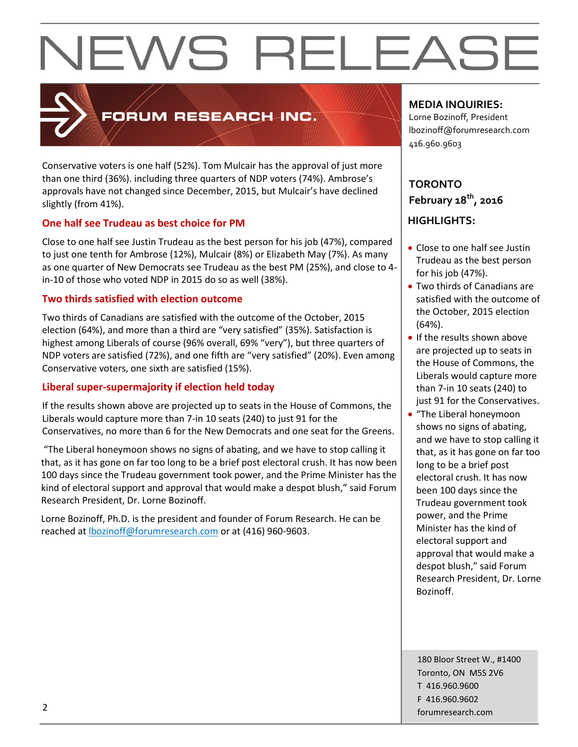

# FORUM RESEARCH INC.

Conservative voters is one half (52%). Tom Mulcair has the approval of just more than one third (36%). including three quarters of NDP voters (74%). Ambrose's approvals have not changed since December, 2015, but Mulcair's have declined slightly (from 41%).

### **One half see Trudeau as best choice for PM**

Close to one half see Justin Trudeau as the best person for his job (47%), compared to just one tenth for Ambrose (12%), Mulcair (8%) or Elizabeth May (7%). As many as one quarter of New Democrats see Trudeau as the best PM (25%), and close to 4 in-10 of those who voted NDP in 2015 do so as well (38%).

### **Two thirds satisfied with election outcome**

Two thirds of Canadians are satisfied with the outcome of the October, 2015 election (64%), and more than a third are "very satisfied" (35%). Satisfaction is highest among Liberals of course (96% overall, 69% "very"), but three quarters of NDP voters are satisfied (72%), and one fifth are "very satisfied" (20%). Even among Conservative voters, one sixth are satisfied (15%).

### **Liberal super-supermajority if election held today**

If the results shown above are projected up to seats in the House of Commons, the Liberals would capture more than 7-in 10 seats (240) to just 91 for the Conservatives, no more than 6 for the New Democrats and one seat for the Greens.

"The Liberal honeymoon shows no signs of abating, and we have to stop calling it that, as it has gone on far too long to be a brief post electoral crush. It has now been 100 days since the Trudeau government took power, and the Prime Minister has the kind of electoral support and approval that would make a despot blush," said Forum Research President, Dr. Lorne Bozinoff.

Lorne Bozinoff, Ph.D. is the president and founder of Forum Research. He can be reached at [lbozinoff@forumresearch.com](mailto:lbozinoff@forumresearch.com) or at (416) 960-9603.

### **MEDIA INQUIRIES:**

Lorne Bozinoff, President lbozinoff@forumresearch.com 416.960.9603

# **TORONTO February 18th, 2016**

## **HIGHLIGHTS:**

- Close to one half see Justin Trudeau as the best person for his job (47%).
- Two thirds of Canadians are satisfied with the outcome of the October, 2015 election (64%).
- If the results shown above are projected up to seats in the House of Commons, the Liberals would capture more than 7-in 10 seats (240) to just 91 for the Conservatives.
- "The Liberal honeymoon shows no signs of abating, and we have to stop calling it that, as it has gone on far too long to be a brief post electoral crush. It has now been 100 days since the Trudeau government took power, and the Prime Minister has the kind of electoral support and approval that would make a despot blush," said Forum Research President, Dr. Lorne Bozinoff.

180 Bloor Street W., #1400 Toronto, ON M5S 2V6 T 416.960.9600 F 416.960.9602 example to the contract of the contract of the contract of the contract of the contract of the contract of the contract of the contract of the contract of the contract of the contract of the contract of the contract of the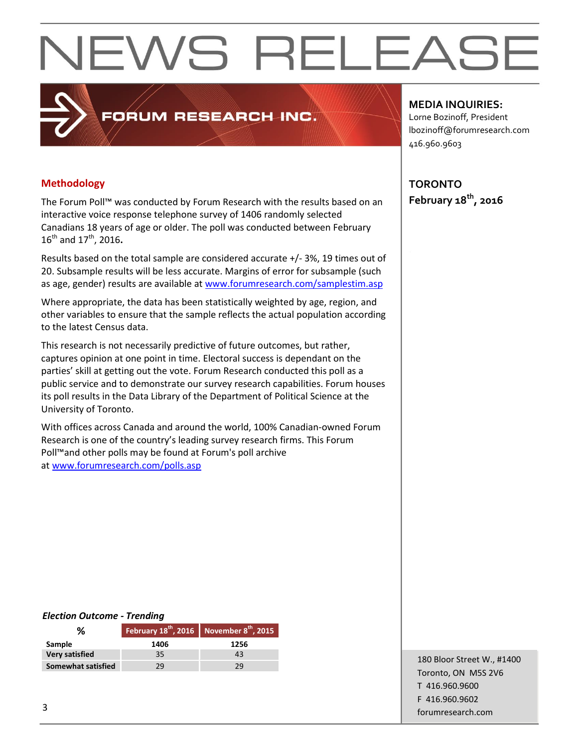### **Methodology**

The Forum Poll™ was conducted by Forum Research with the results based on an interactive voice response telephone survey of 1406 randomly selected Canadians 18 years of age or older. The poll was conducted between February 16th and 17th, 2016**.**

PORUM RESEARCH INC.

Results based on the total sample are considered accurate +/- 3%, 19 times out of 20. Subsample results will be less accurate. Margins of error for subsample (such as age, gender) results are available at [www.forumresearch.com/samplestim.asp](http://www.forumresearch.com/samplestim.asp)

Where appropriate, the data has been statistically weighted by age, region, and other variables to ensure that the sample reflects the actual population according to the latest Census data.

This research is not necessarily predictive of future outcomes, but rather, captures opinion at one point in time. Electoral success is dependant on the parties' skill at getting out the vote. Forum Research conducted this poll as a public service and to demonstrate our survey research capabilities. Forum houses its poll results in the Data Library of the Department of Political Science at the University of Toronto.

With offices across Canada and around the world, 100% Canadian-owned Forum Research is one of the country's leading survey research firms. This Forum Poll™and other polls may be found at Forum's poll archive at [www.forumresearch.com/polls.asp](http://www.forumresearch.com/polls.asp)

#### **MEDIA INQUIRIES:**

Lorne Bozinoff, President lbozinoff@forumresearch.com 416.960.9603

**TORONTO February 18th, 2016**

#### *Election Outcome - Trending*

| ℅                         |      | February $18^{th}$ , 2016 November $8^{th}$ , 2015 |
|---------------------------|------|----------------------------------------------------|
| Sample                    | 1406 | 1256                                               |
| <b>Very satisfied</b>     | 35   | 43                                                 |
| <b>Somewhat satisfied</b> | 29   | 29                                                 |

180 Bloor Street W., #1400 Toronto, ON M5S 2V6 T 416.960.9600 F 416.960.9602 forumresearch.com and the set of the set of the set of the set of the set of the set of the set of the set of the set of the set of the set of the set of the set of the set of the set of the set of the set of the set of th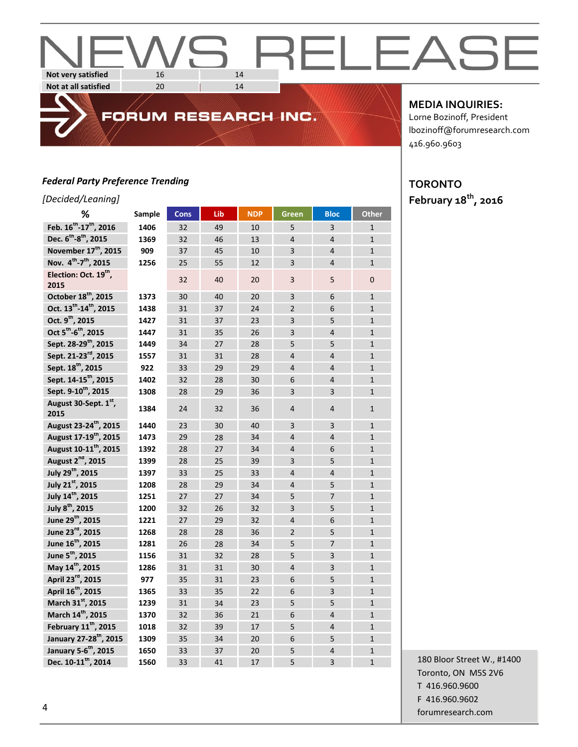#### EI FAS  $\overline{\phantom{0}}$  $\overline{\phantom{a}}$ **Not very satisfied** 16 14 **Not at all satisfied** 20 14

#### *Federal Party Preference Trending*

### *[Decided/Leaning]*

| -------<br>%                                   | Sample | <b>Cons</b> | Lib | <b>NDP</b> | <b>Green</b>   | <b>Bloc</b>             | <b>Other</b>   |
|------------------------------------------------|--------|-------------|-----|------------|----------------|-------------------------|----------------|
| Feb. 16 <sup>th</sup> -17 <sup>th</sup> , 2016 | 1406   | 32          | 49  | 10         | 5              | $\overline{3}$          | $\mathbf{1}$   |
| Dec. 6 <sup>th</sup> -8 <sup>th</sup> , 2015   | 1369   | 32          | 46  | 13         | $\overline{4}$ | $\overline{4}$          | $\mathbf{1}$   |
| November 17 <sup>th</sup> , 2015               | 909    | 37          | 45  | 10         | 3              | $\overline{4}$          | $\mathbf{1}$   |
| Nov. 4 <sup>th</sup> -7 <sup>th</sup> , 2015   | 1256   | 25          | 55  | 12         | 3              | $\overline{4}$          | $\mathbf{1}$   |
| Election: Oct. 19 <sup>th</sup> ,<br>2015      |        | 32          | 40  | 20         | 3              | 5                       | 0              |
| October 18 <sup>th</sup> , 2015                | 1373   | 30          | 40  | 20         | 3              | 6                       | $\mathbf{1}$   |
| Oct. 13 <sup>th</sup> -14 <sup>th</sup> , 2015 | 1438   | 31          | 37  | 24         | $\overline{2}$ | 6                       | $\mathbf{1}$   |
| Oct. 9 <sup>th</sup> , 2015                    | 1427   | 31          | 37  | 23         | 3              | 5                       | $\mathbf{1}$   |
| Oct 5 <sup>th</sup> -6 <sup>th</sup> , 2015    | 1447   | 31          | 35  | 26         | $\overline{3}$ | $\overline{4}$          | $\mathbf{1}$   |
| Sept. 28-29 <sup>th</sup> , 2015               | 1449   | 34          | 27  | 28         | 5              | 5                       | $\mathbf{1}$   |
| Sept. 21-23 <sup>rd</sup> , 2015               | 1557   | 31          | 31  | 28         | $\overline{4}$ | $\overline{4}$          | $\mathbf{1}$   |
| Sept. 18 <sup>th</sup> , 2015                  | 922    | 33          | 29  | 29         | $\overline{4}$ | $\overline{4}$          | $\mathbf{1}$   |
| Sept. 14-15 <sup>th</sup> , 2015               | 1402   | 32          | 28  | 30         | 6              | $\overline{4}$          | $\mathbf{1}$   |
| Sept. 9-10 <sup>th</sup> , 2015                | 1308   | 28          | 29  | 36         | 3              | 3                       | $\mathbf{1}$   |
| August 30-Sept. 1st,<br>2015                   | 1384   | 24          | 32  | 36         | $\overline{4}$ | $\overline{4}$          | $\mathbf{1}$   |
| August 23-24 <sup>th</sup> , 2015              | 1440   | 23          | 30  | 40         | 3              | 3                       | $\mathbf{1}$   |
| August 17-19 <sup>th</sup> , 2015              | 1473   | 29          | 28  | 34         | $\overline{4}$ | $\overline{4}$          | $\overline{1}$ |
| August 10-11 <sup>th</sup> , 2015              | 1392   | 28          | 27  | 34         | $\overline{4}$ | 6                       | $\mathbf{1}$   |
| August 2 <sup>nd</sup> , 2015                  | 1399   | 28          | 25  | 39         | 3              | 5                       | $\mathbf{1}$   |
| July 29 <sup>th</sup> , 2015                   | 1397   | 33          | 25  | 33         | $\overline{4}$ | $\overline{4}$          | $\mathbf{1}$   |
| July 21st, 2015                                | 1208   | 28          | 29  | 34         | $\overline{4}$ | 5                       | $\mathbf{1}$   |
| July 14 <sup>th</sup> , 2015                   | 1251   | 27          | 27  | 34         | 5              | $\overline{7}$          | $\mathbf{1}$   |
| July 8 <sup>th</sup> , 2015                    | 1200   | 32          | 26  | 32         | 3              | 5                       | $\mathbf{1}$   |
| June 29 <sup>th</sup> , 2015                   | 1221   | 27          | 29  | 32         | $\overline{4}$ | 6                       | $\mathbf{1}$   |
| June 23rd, 2015                                | 1268   | 28          | 28  | 36         | $\overline{2}$ | 5                       | $\overline{1}$ |
| June 16 <sup>th</sup> , 2015                   | 1281   | 26          | 28  | 34         | 5              | $\overline{7}$          | $\mathbf{1}$   |
| June 5 <sup>th</sup> , 2015                    | 1156   | 31          | 32  | 28         | 5              | $\overline{\mathbf{3}}$ | $\mathbf{1}$   |
| May 14 <sup>th</sup> , 2015                    | 1286   | 31          | 31  | 30         | $\overline{4}$ | 3                       | $\mathbf{1}$   |
| April 23 <sup>rd</sup> , 2015                  | 977    | 35          | 31  | 23         | 6              | 5                       | $\mathbf{1}$   |
| April 16 <sup>th</sup> , 2015                  | 1365   | 33          | 35  | 22         | 6              | $\overline{\mathbf{3}}$ | $\mathbf{1}$   |
| March 31st, 2015                               | 1239   | 31          | 34  | 23         | 5              | 5                       | $\mathbf{1}$   |
| March 14 <sup>th</sup> , 2015                  | 1370   | 32          | 36  | 21         | 6              | $\overline{4}$          | $\mathbf{1}$   |
| February 11 <sup>th</sup> , 2015               | 1018   | 32          | 39  | 17         | 5              | $\overline{4}$          | $\mathbf{1}$   |
| January 27-28 <sup>th</sup> , 2015             | 1309   | 35          | 34  | 20         | 6              | 5                       | $\mathbf{1}$   |
| January 5-6 <sup>th</sup> , 2015               | 1650   | 33          | 37  | 20         | 5              | $\overline{4}$          | $\mathbf{1}$   |
| Dec. 10-11 <sup>th</sup> , 2014                | 1560   | 33          | 41  | 17         | 5              | $\overline{3}$          | $\overline{1}$ |

FORUM RESEARCH INC.

#### **MEDIA INQUIRIES:**

Lorne Bozinoff, President lbozinoff@forumresearch.com 416.960.9603

# **TORONTO February 18th, 2016**

180 Bloor Street W., #1400 Toronto, ON M5S 2V6 T 416.960.9600 F 416.960.9602 example and the contract of the contract of the contract of the contract of the contract of the contract of the contract of the contract of the contract of the contract of the contract of the contract of the contract of th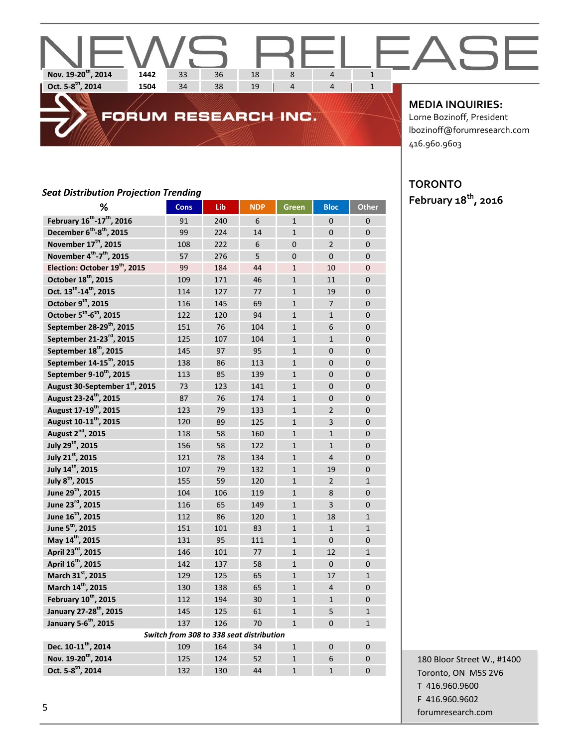# **Nov. 19-20<sup>th</sup>, 2014 1442** 33 36 18 8 4 1<br>**Oct. 5-8<sup>th</sup>, 2014 1504** 34 38 19 4 4 1 **Oct. 5-8 th, 2014 1504** 34 38 19 4 4 1

# FORUM RESEARCH INC.

**MEDIA INQUIRIES:**

Lorne Bozinoff, President lbozinoff@forumresearch.com 416.960.9603

#### *Seat Distribution Projection Trending*

| ℅                                                  | <b>Cons</b>                              | Lib | <b>NDP</b> | <b>Green</b>   | <b>Bloc</b>    | <b>Other</b>   |
|----------------------------------------------------|------------------------------------------|-----|------------|----------------|----------------|----------------|
| February 16 <sup>th</sup> -17 <sup>th</sup> , 2016 | 91                                       | 240 | 6          | $\mathbf{1}$   | $\Omega$       | $\Omega$       |
| December 6 <sup>th</sup> -8 <sup>th</sup> , 2015   | 99                                       | 224 | 14         | $\mathbf{1}$   | $\overline{0}$ | $\mathbf{0}$   |
| November 17 <sup>th</sup> , 2015                   | 108                                      | 222 | 6          | $\Omega$       | $\overline{2}$ | $\Omega$       |
| November 4th-7 <sup>th</sup> , 2015                | 57                                       | 276 | 5          | $\overline{0}$ | $\overline{0}$ | $\overline{0}$ |
| Election: October 19 <sup>th</sup> , 2015          | 99                                       | 184 | 44         | $\mathbf{1}$   | 10             | $\overline{0}$ |
| October 18 <sup>th</sup> , 2015                    | 109                                      | 171 | 46         | $\mathbf{1}$   | 11             | $\Omega$       |
| Oct. 13 <sup>th</sup> -14 <sup>th</sup> , 2015     | 114                                      | 127 | 77         | $\mathbf{1}$   | 19             | $\overline{0}$ |
| October 9th, 2015                                  | 116                                      | 145 | 69         | $\mathbf{1}$   | $\overline{7}$ | $\mathbf 0$    |
| October 5th-6th, 2015                              | 122                                      | 120 | 94         | $\mathbf{1}$   | $\mathbf{1}$   | $\overline{0}$ |
| September 28-29 <sup>th</sup> , 2015               | 151                                      | 76  | 104        | $\mathbf{1}$   | 6              | $\overline{0}$ |
| September 21-23 <sup>rd</sup> , 2015               | 125                                      | 107 | 104        | $\mathbf{1}$   | $\mathbf{1}$   | $\overline{0}$ |
| September 18 <sup>th</sup> , 2015                  | 145                                      | 97  | 95         | $\mathbf{1}$   | $\overline{0}$ | $\overline{0}$ |
| September 14-15 <sup>th</sup> , 2015               | 138                                      | 86  | 113        | $\mathbf{1}$   | $\overline{0}$ | $\overline{0}$ |
| September 9-10 <sup>th</sup> , 2015                | 113                                      | 85  | 139        | $\mathbf{1}$   | $\Omega$       | $\mathbf{0}$   |
| August 30-September 1st, 2015                      | 73                                       | 123 | 141        | $\mathbf{1}$   | $\overline{0}$ | $\overline{0}$ |
| August 23-24 <sup>th</sup> , 2015                  | 87                                       | 76  | 174        | $\mathbf{1}$   | $\overline{0}$ | $\overline{0}$ |
| August 17-19 <sup>th</sup> , 2015                  | 123                                      | 79  | 133        | $\mathbf{1}$   | $\overline{2}$ | $\Omega$       |
| August 10-11 <sup>th</sup> , 2015                  | 120                                      | 89  | 125        | $\mathbf{1}$   | 3              | $\mathbf 0$    |
| August 2 <sup>nd</sup> , 2015                      | 118                                      | 58  | 160        | $\mathbf{1}$   | $\mathbf{1}$   | $\overline{0}$ |
| July 29 <sup>th</sup> , 2015                       | 156                                      | 58  | 122        | $\mathbf{1}$   | $\mathbf{1}$   | $\overline{0}$ |
| July 21st, 2015                                    | 121                                      | 78  | 134        | $\mathbf{1}$   | $\overline{4}$ | $\Omega$       |
| July 14 <sup>th</sup> , 2015                       | 107                                      | 79  | 132        | $\mathbf{1}$   | 19             | $\overline{0}$ |
| July 8 <sup>th</sup> , 2015                        | 155                                      | 59  | 120        | $\mathbf{1}$   | $\overline{2}$ | $\mathbf{1}$   |
| June 29 <sup>th</sup> , 2015                       | 104                                      | 106 | 119        | $\mathbf{1}$   | 8              | $\overline{0}$ |
| June 23rd, 2015                                    | 116                                      | 65  | 149        | $\mathbf{1}$   | 3              | $\overline{0}$ |
| June 16 <sup>th</sup> , 2015                       | 112                                      | 86  | 120        | $\mathbf{1}$   | 18             | $\mathbf{1}$   |
| June 5 <sup>th</sup> , 2015                        | 151                                      | 101 | 83         | $\mathbf{1}$   | $\mathbf{1}$   | $\mathbf{1}$   |
| May 14 <sup>th</sup> , 2015                        | 131                                      | 95  | 111        | $\mathbf{1}$   | $\Omega$       | $\Omega$       |
| April 23 <sup>rd</sup> , 2015                      | 146                                      | 101 | 77         | $\mathbf{1}$   | 12             | $\mathbf{1}$   |
| April 16 <sup>th</sup> , 2015                      | 142                                      | 137 | 58         | $\mathbf{1}$   | $\Omega$       | $\Omega$       |
| March 31st, 2015                                   | 129                                      | 125 | 65         | $\mathbf{1}$   | 17             | $\mathbf{1}$   |
| March 14 <sup>th</sup> , 2015                      | 130                                      | 138 | 65         | $\mathbf{1}$   | $\overline{4}$ | $\Omega$       |
| February 10 <sup>th</sup> , 2015                   | 112                                      | 194 | 30         | $\mathbf{1}$   | $\mathbf{1}$   | $\Omega$       |
| January 27-28 <sup>th</sup> , 2015                 | 145                                      | 125 | 61         | $\mathbf{1}$   | 5              | $\mathbf{1}$   |
| January 5-6 <sup>th</sup> , 2015                   | 137                                      | 126 | 70         | $\mathbf{1}$   | $\overline{0}$ | $\mathbf{1}$   |
|                                                    | Switch from 308 to 338 seat distribution |     |            |                |                |                |
| Dec. 10-11 <sup>th</sup> , 2014                    | 109                                      | 164 | 34         | $\mathbf{1}$   | $\Omega$       | $\Omega$       |
| Nov. 19-20 <sup>th</sup> , 2014                    | 125                                      | 124 | 52         | $\mathbf{1}$   | 6              | $\mathbf{0}$   |
| Oct. 5-8 <sup>th</sup> , 2014                      | 132                                      | 130 | 44         | $\mathbf{1}$   | $\mathbf{1}$   | $\Omega$       |
|                                                    |                                          |     |            |                |                |                |

# **TORONTO**

**February 18th, 2016**

180 Bloor Street W., #1400 Toronto, ON M5S 2V6 T 416.960.9600 F 416.960.9602 forumresearch.com and the contract of the contract of the contract of the contract of the contract of the contract of the contract of the contract of the contract of the contract of the contract of the contract of the cont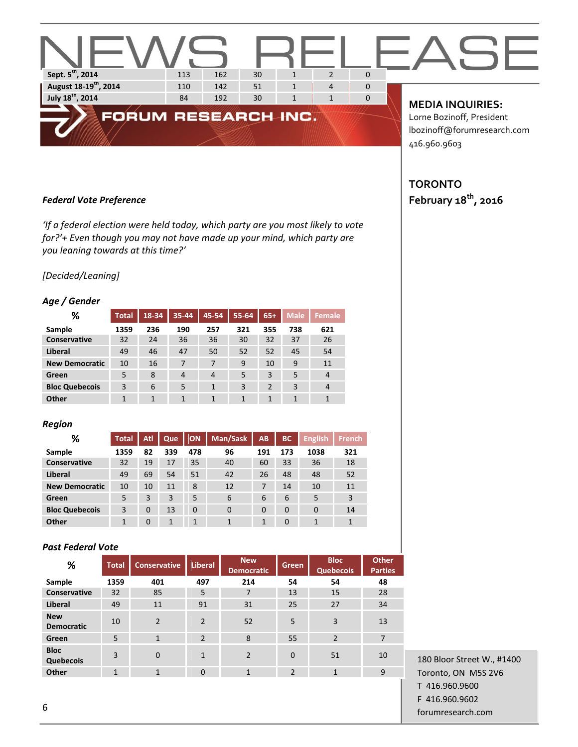

#### *Federal Vote Preference*

*'If a federal election were held today, which party are you most likely to vote for?'+ Even though you may not have made up your mind, which party are you leaning towards at this time?'*

#### *[Decided/Leaning]*

#### *Age / Gender*

| %                     | <b>Total</b> | 18-34 | $35 - 44$      | 45-54          | 55-64 | $65+$          | <b>Male</b> | <b>Female</b> |
|-----------------------|--------------|-------|----------------|----------------|-------|----------------|-------------|---------------|
| Sample                | 1359         | 236   | 190            | 257            | 321   | 355            | 738         | 621           |
| <b>Conservative</b>   | 32           | 24    | 36             | 36             | 30    | 32             | 37          | 26            |
| Liberal               | 49           | 46    | 47             | 50             | 52    | 52             | 45          | 54            |
| <b>New Democratic</b> | 10           | 16    | 7              | 7              | 9     | 10             | 9           | 11            |
| Green                 | 5            | 8     | $\overline{4}$ | $\overline{4}$ | 5     | 3              | 5           | 4             |
| <b>Bloc Quebecois</b> | 3            | 6     | 5              | 1              | 3     | $\overline{2}$ | 3           | 4             |
| Other                 | 1            | 1     | 1              | 1              | 1     | 1              | 1           | 1             |

#### *Region*

| ℅                     | <b>Total</b> | Atl      | Que | ON       | Man/Sask | AB       | <b>BC</b> | <b>English</b> | <b>French</b> |
|-----------------------|--------------|----------|-----|----------|----------|----------|-----------|----------------|---------------|
| Sample                | 1359         | 82       | 339 | 478      | 96       | 191      | 173       | 1038           | 321           |
| <b>Conservative</b>   | 32           | 19       | 17  | 35       | 40       | 60       | 33        | 36             | 18            |
| Liberal               | 49           | 69       | 54  | 51       | 42       | 26       | 48        | 48             | 52            |
| <b>New Democratic</b> | 10           | 10       | 11  | 8        | 12       | 7        | 14        | 10             | 11            |
| Green                 | 5            | 3        | 3   | 5        | 6        | 6        | 6         | 5              | 3             |
| <b>Bloc Quebecois</b> | 3            | $\Omega$ | 13  | $\Omega$ | 0        | $\Omega$ | 0         | 0              | 14            |
| Other                 | 1            | $\Omega$ | 1   | 1        | 1        | 1        | $\Omega$  | 1              | 1             |

#### *Past Federal Vote*

| %                               | <b>Total</b> | <b>Conservative</b> | Liberal        | <b>New</b><br><b>Democratic</b> | Green          | <b>Bloc</b><br><b>Quebecois</b> | <b>Other</b><br><b>Parties</b> |
|---------------------------------|--------------|---------------------|----------------|---------------------------------|----------------|---------------------------------|--------------------------------|
| Sample                          | 1359         | 401                 | 497            | 214                             | 54             | 54                              | 48                             |
| Conservative                    | 32           | 85                  | 5              | 7                               | 13             | 15                              | 28                             |
| <b>Liberal</b>                  | 49           | 11                  | 91             | 31                              | 25             | 27                              | 34                             |
| <b>New</b><br><b>Democratic</b> | 10           | $\overline{2}$      | $\overline{2}$ | 52                              | 5              | 3                               | 13                             |
| Green                           | 5            | $\mathbf{1}$        | $\overline{2}$ | 8                               | 55             | $\overline{2}$                  | $\overline{7}$                 |
| <b>Bloc</b><br>Quebecois        | 3            | $\mathbf{0}$        | $\mathbf{1}$   | $\overline{2}$                  | $\overline{0}$ | 51                              | 10                             |
| Other                           | $\mathbf{1}$ | $\mathbf{1}$        | $\Omega$       | $\mathbf{1}$                    | $\overline{2}$ | $\mathbf{1}$                    | 9                              |

180 Bloor Street W., #1400 Toronto, ON M5S 2V6 T 416.960.9600 F 416.960.9602 forumresearch.com 6

416.960.9603

## **TORONTO February 18th, 2016**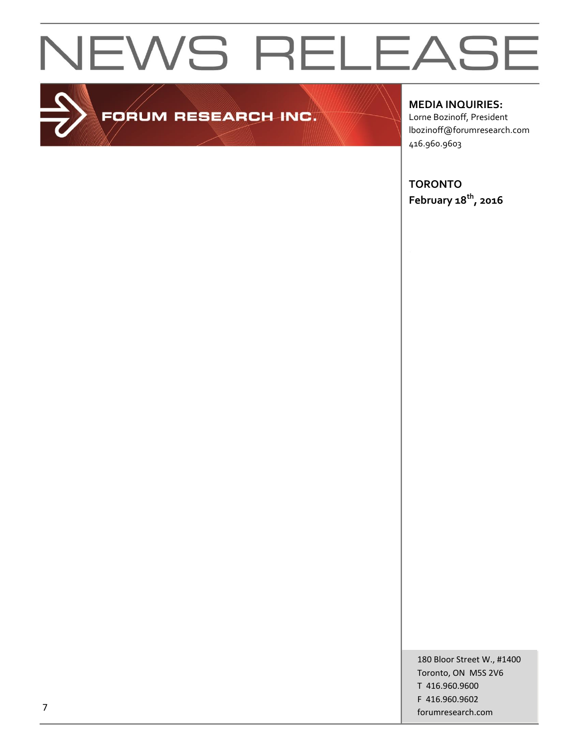

# FORUM RESEARCH INC.

**MEDIA INQUIRIES:**

Lorne Bozinoff, President lbozinoff@forumresearch.com 416.960.9603

**TORONTO February 18th, 2016**

180 Bloor Street W., #1400 Toronto, ON M5S 2V6 T 416.960.9600 F 416.960.9602 forumresearch.com 7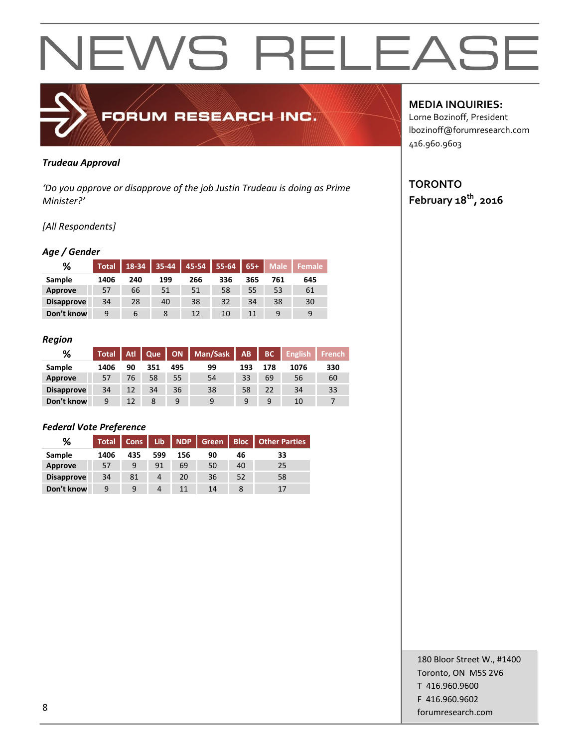

#### *Trudeau Approval*

*'Do you approve or disapprove of the job Justin Trudeau is doing as Prime Minister?'*

#### *[All Respondents]*

#### *Age / Gender*

| %                 | <b>Total</b> | $18 - 34$ | 35-44 | 45-54 | 55-64 | $65+$ | <b>Male</b> | <b>Female</b> |
|-------------------|--------------|-----------|-------|-------|-------|-------|-------------|---------------|
| Sample            | 1406         | 240       | 199   | 266   | 336   | 365   | 761         | 645           |
| <b>Approve</b>    | 57           | 66        | 51    | 51    | 58    | 55    | 53          | 61            |
| <b>Disapprove</b> | 34           | 28        | 40    | 38    | 32    | 34    | 38          | 30            |
| Don't know        | 9            | 6         | 8     | 12    | 10    | 11    | 9           | 9             |

#### *Region*

| %                 | Total <sup>'</sup> | Atl | Que | <b>ON</b> | Man/Sask | AB  | <b>BC</b> | <b>English</b> | ا French! |
|-------------------|--------------------|-----|-----|-----------|----------|-----|-----------|----------------|-----------|
| Sample            | 1406               | 90  | 351 | 495       | 99       | 193 | 178       | 1076           | 330       |
| Approve           | 57                 | 76  | 58  | 55        | 54       | 33  | 69        | 56             | 60        |
| <b>Disapprove</b> | 34                 | 12  | 34  | 36        | 38       | 58  | 22        | 34             | 33        |
| Don't know        | 9                  | 12  | 8   | 9         | 9        | 9   | 9         | 10             |           |

#### *Federal Vote Preference*

| %                 | <b>Total</b> | <b>Cons</b> | Lib | <b>NDP</b> | Green | <b>Bloc</b> | <b>Other Parties</b> |
|-------------------|--------------|-------------|-----|------------|-------|-------------|----------------------|
| Sample            | 1406         | 435         | 599 | 156        | 90    | 46          | 33                   |
| Approve           | 57           | 9           | 91  | 69         | 50    | 40          | 25                   |
| <b>Disapprove</b> | 34           | 81          | 4   | 20         | 36    | 52          | 58                   |
| Don't know        | 9            | 9           | 4   | 11         | 14    |             | 17                   |

### **MEDIA INQUIRIES:**

Lorne Bozinoff, President lbozinoff@forumresearch.com 416.960.9603

# **TORONTO February 18th, 2016**

180 Bloor Street W., #1400 Toronto, ON M5S 2V6 T 416.960.9600 F 416.960.9602 end to the state of the state of the state of the state of the state of the state of the state of the state of the state of the state of the state of the state of the state of the state of the state of the state of the sta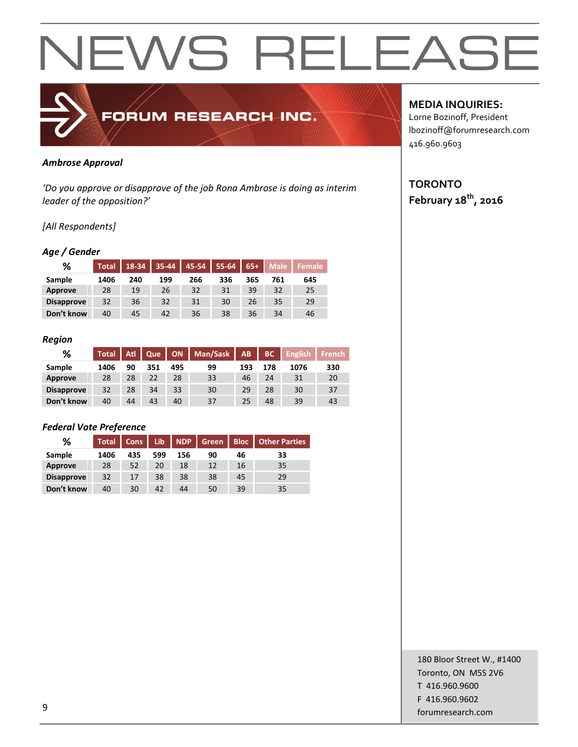

#### *Ambrose Approval*

*'Do you approve or disapprove of the job Rona Ambrose is doing as interim leader of the opposition?'*

#### *[All Respondents]*

#### *Age / Gender*

| %                 | <b>Total</b> | 18-34 | 35-44 | 45-54 | 55-64 | $65+$ | <b>Male</b> | <b>Female</b> |
|-------------------|--------------|-------|-------|-------|-------|-------|-------------|---------------|
| Sample            | 1406         | 240   | 199   | 266   | 336   | 365   | 761         | 645           |
| Approve           | 28           | 19    | 26    | 32    | 31    | 39    | 32          | 25            |
| <b>Disapprove</b> | 32           | 36    | 32    | 31    | 30    | 26    | 35          | 29            |
| Don't know        | 40           | 45    | 42    | 36    | 38    | 36    | 34          | 46            |

#### *Region*

| %                 | <b>Total</b> | Atl | Que | ON  | Man/Sask | <b>AB</b> | BC  | <b>English</b> | <b>French</b> |
|-------------------|--------------|-----|-----|-----|----------|-----------|-----|----------------|---------------|
| Sample            | 1406         | 90  | 351 | 495 | 99       | 193       | 178 | 1076           | 330           |
| <b>Approve</b>    | 28           | 28  | 22  | 28  | 33       | 46        | 24  | 31             | 20            |
| <b>Disapprove</b> | 32           | 28  | 34  | 33  | 30       | 29        | 28  | 30             | 37            |
| Don't know        | 40           | 44  | 43  | 40  | 37       | 25        | 48  | 39             | 43            |

#### *Federal Vote Preference*

| %                 | <b>Total</b> | Cons | Lib. | <b>NDP</b> | Green | <b>Bloc</b> | <b>Other Parties</b> |
|-------------------|--------------|------|------|------------|-------|-------------|----------------------|
| Sample            | 1406         | 435  | 599  | 156        | 90    | 46          | 33                   |
| <b>Approve</b>    | 28           | 52   | 20   | 18         | 12    | 16          | 35                   |
| <b>Disapprove</b> | 32           | 17   | 38   | 38         | 38    | 45          | 29                   |
| Don't know        | 40           | 30   | 42   | 44         | 50    | 39          | 35                   |

### **MEDIA INQUIRIES:**

Lorne Bozinoff, President lbozinoff@forumresearch.com 416.960.9603

# **TORONTO February 18th, 2016**

180 Bloor Street W., #1400 Toronto, ON M5S 2V6 T 416.960.9600 F 416.960.9602 forumresearch.com 9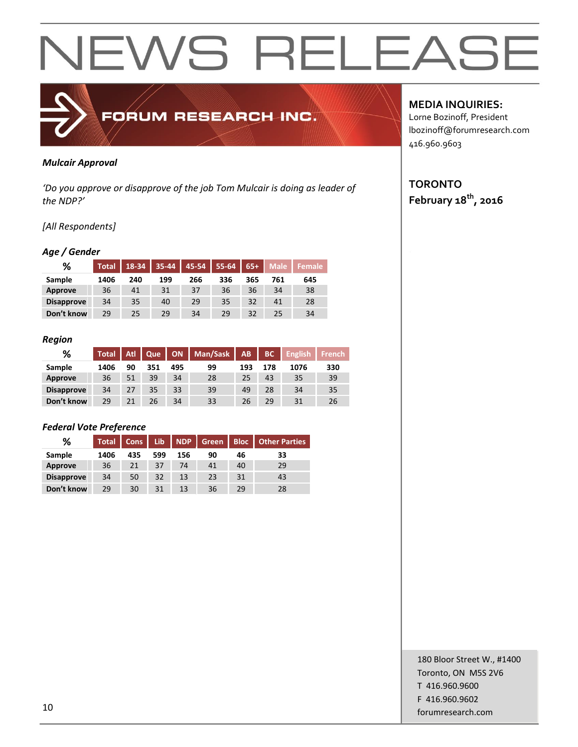

#### *Mulcair Approval*

*'Do you approve or disapprove of the job Tom Mulcair is doing as leader of the NDP?'*

#### *[All Respondents]*

#### *Age / Gender*

| %                 | <b>Total</b> | 18-34 | 35-44 | 45-54 | 55-64 | $65+$ | Male | <b>Female</b> |
|-------------------|--------------|-------|-------|-------|-------|-------|------|---------------|
| Sample            | 1406         | 240   | 199   | 266   | 336   | 365   | 761  | 645           |
| <b>Approve</b>    | 36           | 41    | 31    | 37    | 36    | 36    | 34   | 38            |
| <b>Disapprove</b> | 34           | 35    | 40    | 29    | 35    | 32    | 41   | 28            |
| Don't know        | 29           | 25    | 29    | 34    | 29    | 32    | 25   | 34            |

#### *Region*

| %                 | Total <sup>1</sup> | Atl | Que | <b>ON</b> | Man/Sask | AB. | BC  | <b>English</b> | <b>French</b> |
|-------------------|--------------------|-----|-----|-----------|----------|-----|-----|----------------|---------------|
| Sample            | 1406               | 90  | 351 | 495       | 99       | 193 | 178 | 1076           | 330           |
| Approve           | 36                 | 51  | 39  | 34        | 28       | 25  | 43  | 35             | 39            |
| <b>Disapprove</b> | 34                 | 27  | 35  | 33        | 39       | 49  | 28  | 34             | 35            |
| Don't know        | 29                 | 21  | 26  | 34        | 33       | 26  | 29  | 31             | 26            |

#### *Federal Vote Preference*

| %                 | <b>Total</b> | <b>Cons</b> | Lib | <b>NDP</b> | Green | <b>Bloc</b> | <b>Other Parties</b> |
|-------------------|--------------|-------------|-----|------------|-------|-------------|----------------------|
| Sample            | 1406         | 435         | 599 | 156        | 90    | 46          | 33                   |
| <b>Approve</b>    | 36           | 21          | 37  | 74         | 41    | 40          | 29                   |
| <b>Disapprove</b> | 34           | 50          | 32  | 13         | 23    | 31          | 43                   |
| Don't know        | 29           | 30          | 31  | 13         | 36    | 29          | 28                   |

### **MEDIA INQUIRIES:**

Lorne Bozinoff, President lbozinoff@forumresearch.com 416.960.9603

# **TORONTO February 18th, 2016**

180 Bloor Street W., #1400 Toronto, ON M5S 2V6 T 416.960.9600 F 416.960.9602 for the set of the set of the set of the set of the set of the set of the set of the set of the set of the set of the set of the set of the set of the set of the set of the set of the set of the set of the set of the set o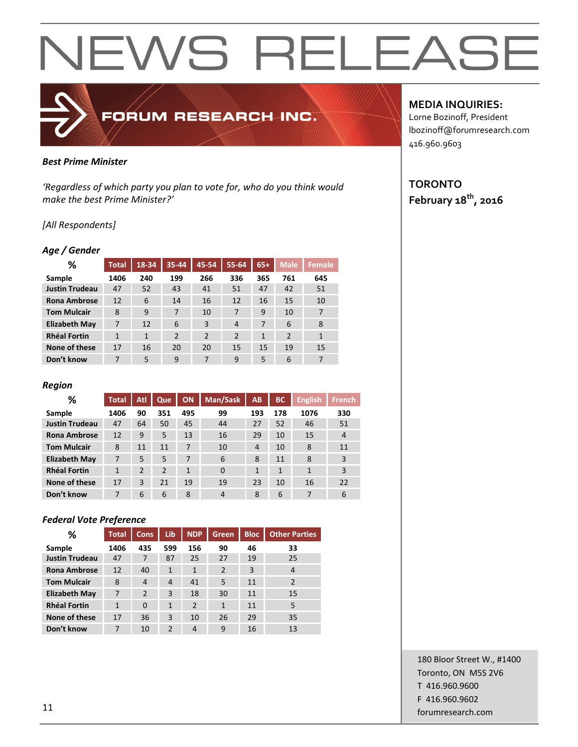# *Best Prime Minister*

*'Regardless of which party you plan to vote for, who do you think would make the best Prime Minister?'*

FORUM RESEARCH INC.

#### *[All Respondents]*

#### *Age / Gender*

| ℅                     | Total        | 18-34 | 35-44          | 45-54          | 55-64          | $65+$        | <b>Male</b> | <b>Female</b> |
|-----------------------|--------------|-------|----------------|----------------|----------------|--------------|-------------|---------------|
| Sample                | 1406         | 240   | 199            | 266            | 336            | 365          | 761         | 645           |
| <b>Justin Trudeau</b> | 47           | 52    | 43             | 41             | 51             | 47           | 42          | 51            |
| <b>Rona Ambrose</b>   | 12           | 6     | 14             | 16             | 12             | 16           | 15          | 10            |
| <b>Tom Mulcair</b>    | 8            | 9     | 7              | 10             | 7              | 9            | 10          | 7             |
| <b>Elizabeth May</b>  | 7            | 12    | 6              | 3              | $\overline{4}$ | 7            | 6           | 8             |
| <b>Rhéal Fortin</b>   | $\mathbf{1}$ | 1     | $\overline{2}$ | $\overline{2}$ | $\overline{2}$ | $\mathbf{1}$ | 2           | $\mathbf{1}$  |
| None of these         | 17           | 16    | 20             | 20             | 15             | 15           | 19          | 15            |
| Don't know            | 7            | 5     | 9              | 7              | 9              | 5            | 6           | 7             |

#### *Region*

| %                     | <b>Total</b> | Atl | Que            | ON           | Man/Sask | AB  | <b>BC</b> | <b>English</b> | <b>French</b>  |
|-----------------------|--------------|-----|----------------|--------------|----------|-----|-----------|----------------|----------------|
| Sample                | 1406         | 90  | 351            | 495          | 99       | 193 | 178       | 1076           | 330            |
| <b>Justin Trudeau</b> | 47           | 64  | 50             | 45           | 44       | 27  | 52        | 46             | 51             |
| <b>Rona Ambrose</b>   | 12           | 9   | 5              | 13           | 16       | 29  | 10        | 15             | $\overline{4}$ |
| <b>Tom Mulcair</b>    | 8            | 11  | 11             | 7            | 10       | 4   | 10        | 8              | 11             |
| <b>Elizabeth May</b>  | 7            | 5   | 5              | 7            | 6        | 8   | 11        | 8              | 3              |
| <b>Rhéal Fortin</b>   | $\mathbf{1}$ | 2   | $\overline{2}$ | $\mathbf{1}$ | $\Omega$ | 1   | 1         | 1              | 3              |
| None of these         | 17           | 3   | 21             | 19           | 19       | 23  | 10        | 16             | 22             |
| Don't know            | 7            | 6   | 6              | 8            | 4        | 8   | 6         | 7              | 6              |

#### *Federal Vote Preference*

| %                     | <b>Total</b> | <b>Cons</b>    | Lib            | <b>NDP</b>     | <b>Green</b>   | <b>Bloc</b> | <b>Other Parties</b> |
|-----------------------|--------------|----------------|----------------|----------------|----------------|-------------|----------------------|
| Sample                | 1406         | 435            | 599            | 156            | 90             | 46          | 33                   |
| <b>Justin Trudeau</b> | 47           | 7              | 87             | 25             | 27             | 19          | 25                   |
| <b>Rona Ambrose</b>   | 12           | 40             | $\mathbf{1}$   | 1              | $\overline{2}$ | 3           | 4                    |
| <b>Tom Mulcair</b>    | 8            | 4              | $\overline{4}$ | 41             | 5              | 11          | $\overline{2}$       |
| <b>Elizabeth May</b>  | 7            | $\overline{2}$ | 3              | 18             | 30             | 11          | 15                   |
| <b>Rhéal Fortin</b>   | $\mathbf{1}$ | $\Omega$       | $\mathbf{1}$   | $\overline{2}$ | 1              | 11          | 5                    |
| None of these         | 17           | 36             | 3              | 10             | 26             | 29          | 35                   |
| Don't know            | 7            | 10             | $\mathfrak{p}$ | 4              | 9              | 16          | 13                   |

#### **MEDIA INQUIRIES:**

Lorne Bozinoff, President lbozinoff@forumresearch.com 416.960.9603

# **TORONTO February 18th, 2016**

180 Bloor Street W., #1400 Toronto, ON M5S 2V6 T 416.960.9600 F 416.960.9602 for the contract of the contract of the contract of the contract of the contract of the contract of the contract of the contract of the contract of the contract of the contract of the contract of the contract of the contra